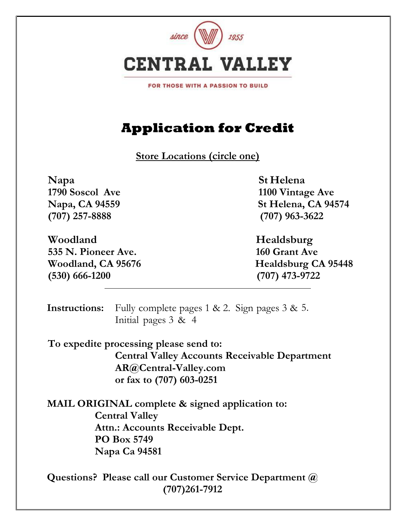

FOR THOSE WITH A PASSION TO BUILD

# **Application for Credit**

**Store Locations (circle one)**

**Napa St Helena (707) 257-8888 (707) 963-3622**

**Woodland Healdsburg 535 N. Pioneer Ave. 160 Grant Ave (530) 666-1200 (707) 473-9722**

**1790 Soscol Ave 1100 Vintage Ave Napa, CA 94559 St Helena, CA 94574** 

**Woodland, CA 95676 Healdsburg CA 95448** 

**Instructions:** Fully complete pages 1 & 2. Sign pages 3 & 5. Initial pages 3 & 4

**To expedite processing please send to: Central Valley Accounts Receivable Department AR@Central-Valley.com or fax to (707) 603-0251**

**MAIL ORIGINAL complete & signed application to: Central Valley Attn.: Accounts Receivable Dept. PO Box 5749 Napa Ca 94581**

**Questions? Please call our Customer Service Department @ (707)261-7912**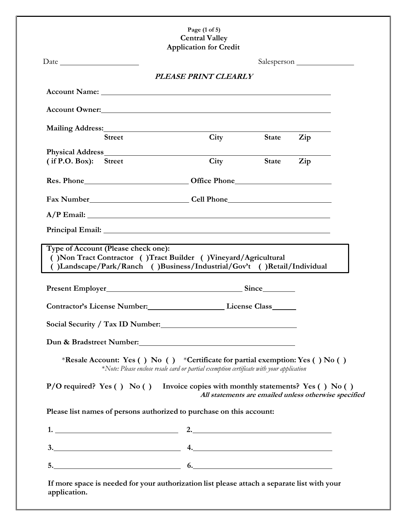#### **Page (1 of 5) Central Valley Application for Credit**

|                                                                                                                                                                                                                                | PLEASE PRINT CLEARLY                                                                     |              |                                                       |
|--------------------------------------------------------------------------------------------------------------------------------------------------------------------------------------------------------------------------------|------------------------------------------------------------------------------------------|--------------|-------------------------------------------------------|
|                                                                                                                                                                                                                                |                                                                                          |              |                                                       |
| Account Owner: New York Changes and the Country of the Country of the Country of the Country of the Country of the Country of the Country of the Country of the Country of the Country of the Country of the Country of the Co |                                                                                          |              |                                                       |
| Mailing Address: 1988 Mailing Address:                                                                                                                                                                                         |                                                                                          |              |                                                       |
| <b>Street</b>                                                                                                                                                                                                                  | City                                                                                     | <b>State</b> | Zip                                                   |
| (if P.O. Box): Street                                                                                                                                                                                                          | City                                                                                     | <b>State</b> | Zip                                                   |
|                                                                                                                                                                                                                                |                                                                                          |              |                                                       |
|                                                                                                                                                                                                                                |                                                                                          |              |                                                       |
| Fax Number Cell Phone Cell Phone Cell Phone Cell Phone Cell Phone Cell Phone Cell Phone Cell Phone Cell Phone Cell Phone Cell Phone Cell Phone Cell Phone Cell Phone Cell Phone Cell Phone Cell Phone Cell Phone Cell Phone Ce |                                                                                          |              |                                                       |
|                                                                                                                                                                                                                                |                                                                                          |              |                                                       |
|                                                                                                                                                                                                                                |                                                                                          |              |                                                       |
| ()Landscape/Park/Ranch ()Business/Industrial/Gov't ()Retail/Individual                                                                                                                                                         |                                                                                          |              |                                                       |
| Contractor's License Number: License Class License Class                                                                                                                                                                       |                                                                                          |              |                                                       |
|                                                                                                                                                                                                                                |                                                                                          |              |                                                       |
|                                                                                                                                                                                                                                |                                                                                          |              |                                                       |
| *Resale Account: Yes () No () *Certificate for partial exemption: Yes () No ()                                                                                                                                                 | *Note: Please enclose resale card or partial exemption certificate with your application |              |                                                       |
| $P/O$ required? Yes () No () Invoice copies with monthly statements? Yes () No ()                                                                                                                                              |                                                                                          |              | All statements are emailed unless otherwise specified |
| Please list names of persons authorized to purchase on this account:                                                                                                                                                           |                                                                                          |              |                                                       |
| 1. $\overbrace{\phantom{xxxxx}}$ 2. $\overbrace{\phantom{xxxxx}}$ 2.                                                                                                                                                           |                                                                                          |              |                                                       |
| $3.$ $4.$                                                                                                                                                                                                                      |                                                                                          |              |                                                       |
| $5.$ 6.                                                                                                                                                                                                                        |                                                                                          |              |                                                       |
| If more space is needed for your authorization list please attach a separate list with your<br>application.                                                                                                                    |                                                                                          |              |                                                       |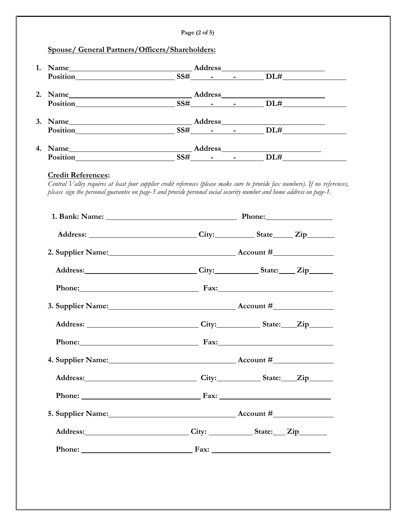| 1. Name $\frac{\text{Address}}{\text{Position}}$ $\frac{\text{S5#}}{\text{S5} + \text{S5} + \text{S5} + \text{S5}}$ DL# $\frac{\text{D1#}}{\text{S5} + \text{S5} + \text{S5} + \text{S5}}$                                                                                                                                                                                                        |                                                                                                                                                                                                                                |                  |  |
|---------------------------------------------------------------------------------------------------------------------------------------------------------------------------------------------------------------------------------------------------------------------------------------------------------------------------------------------------------------------------------------------------|--------------------------------------------------------------------------------------------------------------------------------------------------------------------------------------------------------------------------------|------------------|--|
|                                                                                                                                                                                                                                                                                                                                                                                                   |                                                                                                                                                                                                                                |                  |  |
| 2. Name $\frac{\text{Address}}{\text{Position}}$ $\frac{\text{S5#}}{\text{S5}+\text{S5}+\text{S5}+\text{S5}+\text{S5}+\text{S5}+\text{S5}+\text{S5}+\text{S5}+\text{S5}+\text{S5}+\text{S5}+\text{S5}+\text{S5}+\text{S5}+\text{S5}+\text{S5}+\text{S5}+\text{S5}+\text{S5}+\text{S5}+\text{S5}+\text{S5}+\text{S5}+\text{S5}+\text{S5}+\text{S5}+\text{S5}+\text{S5}+\text{S5}+\text{S5}+\text{$ |                                                                                                                                                                                                                                |                  |  |
| 3. Name $\frac{\text{Address}}{\text{Position}}$ $\frac{\text{SSt}}{\text{SSt}}$ $\frac{\text{SSt}}{\text{SSt}}$ $\frac{\text{DL#}}{\text{SSt}}$                                                                                                                                                                                                                                                  |                                                                                                                                                                                                                                |                  |  |
|                                                                                                                                                                                                                                                                                                                                                                                                   |                                                                                                                                                                                                                                |                  |  |
|                                                                                                                                                                                                                                                                                                                                                                                                   |                                                                                                                                                                                                                                |                  |  |
| Position $SSH$ $-SSH$ $  DLH$                                                                                                                                                                                                                                                                                                                                                                     |                                                                                                                                                                                                                                |                  |  |
|                                                                                                                                                                                                                                                                                                                                                                                                   | 1. Bank: Name: 2010 Phone: 2010 Phone: 2010 Phone: 2010 Phone: 2010 Phone: 2010 Phone: 2010 Phone: 2010 Phone: 2010 Phone: 2010 Phone: 2010 Phone: 2010 Phone: 2010 Phone: 2010 Phone: 2010 Phone: 2010 Phone: 2010 Phone: 201 |                  |  |
| Address: _______________________________City:____________State______Zip_________                                                                                                                                                                                                                                                                                                                  |                                                                                                                                                                                                                                |                  |  |
| 2. Supplier Name: 2. Supplier Name:                                                                                                                                                                                                                                                                                                                                                               |                                                                                                                                                                                                                                |                  |  |
| Address: City: City: State: Zip                                                                                                                                                                                                                                                                                                                                                                   |                                                                                                                                                                                                                                |                  |  |
|                                                                                                                                                                                                                                                                                                                                                                                                   |                                                                                                                                                                                                                                | Phone: Fax: Fax: |  |
|                                                                                                                                                                                                                                                                                                                                                                                                   |                                                                                                                                                                                                                                |                  |  |
|                                                                                                                                                                                                                                                                                                                                                                                                   |                                                                                                                                                                                                                                |                  |  |
| Address:                                                                                                                                                                                                                                                                                                                                                                                          |                                                                                                                                                                                                                                | City: State: Zip |  |
| Phone: Fax: Fax:                                                                                                                                                                                                                                                                                                                                                                                  |                                                                                                                                                                                                                                |                  |  |
| 4. Supplier Name: Manner Account #                                                                                                                                                                                                                                                                                                                                                                |                                                                                                                                                                                                                                |                  |  |
| Address: City: City: State: Zip                                                                                                                                                                                                                                                                                                                                                                   |                                                                                                                                                                                                                                |                  |  |
| Phone: Fax: Fax:                                                                                                                                                                                                                                                                                                                                                                                  |                                                                                                                                                                                                                                |                  |  |
| 5. Supplier Name: Mannell Manual Account #                                                                                                                                                                                                                                                                                                                                                        |                                                                                                                                                                                                                                |                  |  |
| Address: City: City: State: Zip                                                                                                                                                                                                                                                                                                                                                                   |                                                                                                                                                                                                                                |                  |  |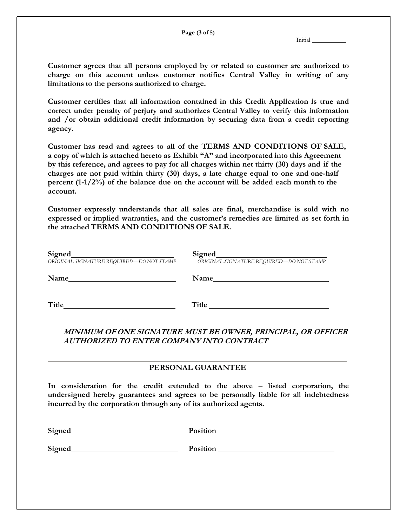**Page (3 of 5)**

Initial

**Customer agrees that all persons employed by or related to customer are authorized to charge on this account unless customer notifies Central Valley in writing of any limitations to the persons authorized to charge.**

**Customer certifies that all information contained in this Credit Application is true and correct under penalty of perjury and authorizes Central Valley to verify this information and /or obtain additional credit information by securing data from a credit reporting agency.**

**Customer has read and agrees to all of the TERMS AND CONDITIONS OF SALE, a copy of which is attached hereto as Exhibit "A" and incorporated into this Agreement by this reference, and agrees to pay for all charges within net thirty (30) days and if the charges are not paid within thirty (30) days, a late charge equal to one and one-half percent (1-1/2%) of the balance due on the account will be added each month to the account.**

**Customer expressly understands that all sales are final, merchandise is sold with no expressed or implied warranties, and the customer's remedies are limited as set forth in the attached TERMS AND CONDITIONS OF SALE.**

| <b>Signed</b><br>ORIGINAL SIGNATURE REQUIRED-DONOT STAMP | <b>Signed</b><br>ORIGINAL SIGNATURE REQUIRED-DONOT STAMP |
|----------------------------------------------------------|----------------------------------------------------------|
| Name                                                     | Name                                                     |
| Title                                                    | Title                                                    |

## **MINIMUM OF ONE SIGNATURE MUST BE OWNER, PRINCIPAL, OR OFFICER AUTHORIZED TO ENTER COMPANY INTO CONTRACT**

### **PERSONAL GUARANTEE**

**In consideration for the credit extended to the above – listed corporation, the undersigned hereby guarantees and agrees to be personally liable for all indebtedness incurred by the corporation through any of its authorized agents.**

| <b>Signed</b> | Position |  |
|---------------|----------|--|
| <b>Signed</b> | Position |  |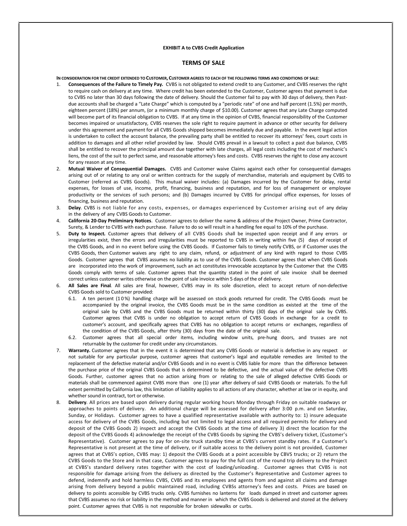#### **EXHIBIT A to CVBS Credit Application**

#### **TERMS OF SALE**

IN CONSIDERATION FOR THE CREDIT EXTENDED TO CUSTOMER, CUSTOMER AGREES TO EACH OF THE FOLLOWING TERMS AND CONDITIONS OF SALE:

- 1. **Consequences of the Failure to Timely Pay***.* CVBS is not obligated to extend credit to any Customer, and CVBS reserves the right to require cash on delivery at any time. Where credit has been extended to the Customer, Customer agrees that payment is due to CVBS no later than 30 days following the date of delivery. Should the Customer fail to pay with 30 days of delivery, then Pastdue accounts shall be charged a "Late Charge" which is computed by a "periodic rate" of one and half percent (1.5%) per month, eighteen percent (18%) per annum, (or a minimum monthly charge of \$10.00). Customer agrees that any Late Charge computed will become part of its financial obligation to CVBS. If at any time in the opinion of CVBS, financial responsibility of the Customer becomes impaired or unsatisfactory, CVBS reserves the sole right to require payment in advance or other security for delivery under this agreement and payment for all CVBS Goods shipped becomes immediately due and payable. In the event legal action is undertaken to collect the account balance, the prevailing party shall be entitled to recover its attorneys' fees, court costs in addition to damages and all other relief provided by law. Should CVBS prevail in a lawsuit to collect a past due balance, CVBS shall be entitled to recover the principal amount due together with late charges, all legal costs including the cost of mechanic's liens, the cost of the suit to perfect same, and reasonable attorney's fees and costs. CVBS reserves the right to close any account for any reason at any time.
- 2. **Mutual Waiver of Consequential Damages***.* CVBS and Customer waive Claims against each other for consequential damages arising out of or relating to any oral or written contracts for the supply of merchandise, materials and equipment by CVBS to Customer (referred as CVBS Goods). This mutual waiver includes: (a) Damages incurred by the Customer for delay, rental expenses, for losses of use, income, profit, financing, business and reputation, and for loss of management or employee productivity or the services of such persons; and (b) Damages incurred by CVBS for principal office expenses, for losses of financing, business and reputation.
- 3. **Delay***.* CVBS is not liable for any costs, expenses, or damages experienced by Customer arising out of any delay in the delivery of any CVBS Goods to Customer.
- 4. **California 20-Day Preliminary Notices**. Customer agrees to deliver the name & address of the Project Owner, Prime Contractor, Surety, & Lender to CVBS with each purchase. Failure to do so will result in a handling fee equal to 10% of the purchase.
- 5. **Duty to Inspect***.* Customer agrees that delivery of all CVBS Goods shall be inspected upon receipt and if any errors or irregularities exist, then the errors and irregularities must be reported to CVBS in writing within five (5) days of receipt of the CVBS Goods, and in no event before using the CVBS Goods. If Customer fails to timely notify CVBS, or if Customer uses the CVBS Goods, then Customer waives any right to any claim, refund, or adjustment of any kind with regard to those CVBS Goods. Customer agrees that CVBS assumes no liability as to use of the CVBS Goods. Customer agrees that when CVBS Goods are incorporated into the work of improvement, such an act constitutes irrevocable acceptance by the Customer that the CVBS Goods comply with terms of sale. Customer agrees that the quantity stated in the point of sale invoice shall be deemed correct unless customer writes otherwise on the point of sale invoice within 5 days of the of delivery.
- 6. **All Sales are Final***.* All sales are final, however, CVBS may in its sole discretion, elect to accept return of non-defective CVBS Goods sold to Customer provided:
	- 6.1. A ten percent (10%) handling charge will be assessed on stock goods returned for credit. The CVBS Goods must be accompanied by the original invoice, the CVBS Goods must be in the same condition as existed at the time of the original sale by CVBS and the CVBS Goods must be returned within thirty (30) days of the original sale by CVBS. Customer agrees that CVBS is under no obligation to accept return of CVBS Goods in exchange for a credit to customer's account, and specifically agrees that CVBS has no obligation to accept returns or exchanges, regardless of the condition of the CVBS Goods, after thirty (30) days from the date of the original sale.
	- 6.2. Customer agrees that all special order items, including window units, pre-hung doors, and trusses are not returnable by the customer for credit under any circumstances.
- 7. **Warranty.** Customer agrees that in the event it is determined that any CVBS Goods or material is defective in any respect or not suitable for any particular purpose, customer agrees that customer's legal and equitable remedies are limited to the replacement of the defective material and/or CVBS Goods and in no event is CVBS liable for more than the difference between the purchase price of the original CVBS Goods that is determined to be defective, and the actual value of the defective CVBS Goods. Further, customer agrees that no action arising from or relating to the sale of alleged defective CVBS Goods or materials shall be commenced against CVBS more than one (1) year after delivery of said CVBS Goods or materials. To the full extent permitted by California law, this limitation of liability applies to all actions of any character, whether at law or in equity, and whether sound in contract, tort or otherwise.
- 8. **Delivery***.* All prices are based upon delivery during regular working hours Monday through Friday on suitable roadways or approaches to points of delivery. An additional charge will be assessed for delivery after 3:00 p.m. and on Saturday, Sunday, or Holidays. Customer agrees to have a qualified representative available with authority to: 1) insure adequate access for delivery of the CVBS Goods, including but not limited to legal access and all required permits for delivery and deposit of the CVBS Goods 2) inspect and accept the CVBS Goods at the time of delivery 3) direct the location for the deposit of the CVBS Goods 4) acknowledge the receipt of the CVBS Goods by signing the CVBS's delivery ticket, (Customer's Representative). Customer agrees to pay for on-site truck standby time at CVBS's current standby rates. If a Customer's Representative is not present at the time of delivery, or if suitable access to the delivery point is not provided, Customer agrees that at CVBS's option, CVBS may: 1) deposit the CVBS Goods at a point accessible by CBVS trucks; or 2) return the CVBS Goods to the Store and in that case, Customer agrees to pay for the full cost of the round trip delivery to the Project at CVBS's standard delivery rates together with the cost of loading/unloading. Customer agrees that CVBS is not responsible for damage arising from the delivery as directed by the Customer's Representative and Customer agrees to defend, indemnify and hold harmless CVBS, CVBS and its employees and agents from and against all claims and damage arising from delivery beyond a public maintained road, including CVBSs attorney's fees and costs. Prices are based on delivery to points accessible by CVBS trucks only. CVBS furnishes no lanterns for loads dumped in street and customer agrees that CVBS assumes no risk or liability in the method and manner in which the CVBS Goods is delivered and stored at the delivery point. C ustomer agrees that CVBS is not responsible for broken sidewalks or curbs.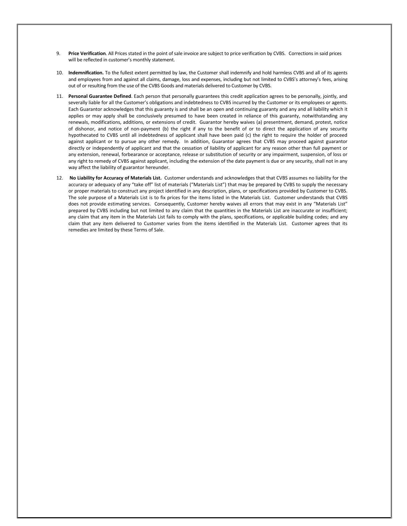- 9. **Price Verification***.* All Prices stated in the point of sale invoice are subject to price verification by CVBS. Corrections in said prices will be reflected in customer's monthly statement.
- 10. **Indemnification.** To the fullest extent permitted by law, the Customer shall indemnify and hold harmless CVBS and all of its agents and employees from and against all claims, damage, loss and expenses, including but not limited to CVBS's attorney's fees, arising out of or resulting from the use of the CVBS Goods and materials delivered to Customer by CVBS.
- 11. **Personal Guarantee Defined**. Each person that personally guarantees this credit application agrees to be personally, jointly, and severally liable for all the Customer's obligations and indebtedness to CVBS incurred by the Customer or its employees or agents. Each Guarantor acknowledges that this guaranty is and shall be an open and continuing guaranty and any and all liability which it applies or may apply shall be conclusively presumed to have been created in reliance of this guaranty, notwithstanding any renewals, modifications, additions, or extensions of credit. Guarantor hereby waives (a) presentment, demand, protest, notice of dishonor, and notice of non-payment (b) the right if any to the benefit of or to direct the application of any security hypothecated to CVBS until all indebtedness of applicant shall have been paid (c) the right to require the holder of proceed against applicant or to pursue any other remedy. In addition, Guarantor agrees that CVBS may proceed against guarantor directly or independently of applicant and that the cessation of liability of applicant for any reason other than full payment or any extension, renewal, forbearance or acceptance, release or substitution of security or any impairment, suspension, of loss or any right to remedy of CVBS against applicant, including the extension of the date payment is due or any security, shall not in any way affect the liability of guarantor hereunder.
- 12. **No Liability for Accuracy of Materials List.** Customer understands and acknowledges that that CVBS assumes no liability for the accuracy or adequacy of any "take off" list of materials ("Materials List") that may be prepared by CVBS to supply the necessary or proper materials to construct any project identified in any description, plans, or specifications provided by Customer to CVBS. The sole purpose of a Materials List is to fix prices for the items listed in the Materials List. Customer understands that CVBS does not provide estimating services. Consequently, Customer hereby waives all errors that may exist in any "Materials List" prepared by CVBS including but not limited to any claim that the quantities in the Materials List are inaccurate or insufficient; any claim that any item in the Materials List fails to comply with the plans, specifications, or applicable building codes; and any claim that any item delivered to Customer varies from the items identified in the Materials List. Customer agrees that its remedies are limited by these Terms of Sale.